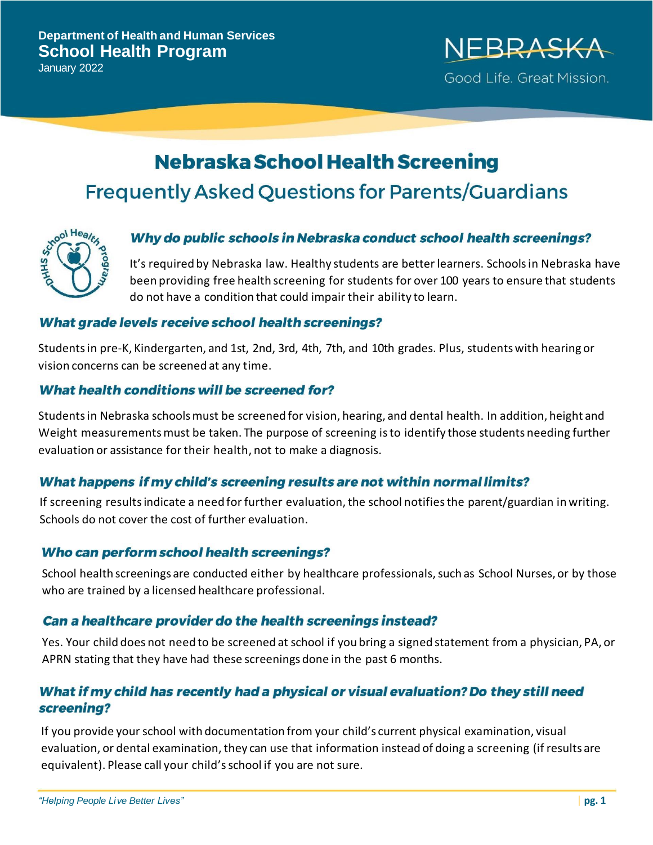

# **Nebraska School Health Screening Frequently Asked Questions for Parents/Guardians**



## Why do public schools in Nebraska conduct school health screenings?

It's required by Nebraska law. Healthy students are better learners. Schoolsin Nebraska have been providing free health screening for students for over 100 years to ensure that students do not have a condition that could impair their ability to learn.

#### What grade levels receive school health screenings?

Studentsin pre-K, Kindergarten, and 1st, 2nd, 3rd, 4th, 7th, and 10th grades. Plus, studentswith hearing or vision concerns can be screened at any time.

## What health conditions will be screened for?

Students in Nebraska schools must be screened for vision, hearing, and dental health. In addition, height and Weight measurements must be taken. The purpose of screening is to identify those students needing further evaluation or assistance for their health, not to make a diagnosis.

# What happens if my child's screening results are not within normal limits?

If screening results indicate a need for further evaluation, the school notifies the parent/guardian in writing. Schools do not cover the cost of further evaluation.

## Who can perform school health screenings?

School health screenings are conducted either by healthcare professionals, such as School Nurses, or by those who are trained by a licensed healthcare professional.

## Can a healthcare provider do the health screenings instead?

Yes. Your child does not need to be screened at school if you bring a signed statement from a physician, PA, or APRN stating that they have had these screenings done in the past 6 months.

# What if my child has recently had a physical or visual evaluation? Do they still need screening?

If you provide your school with documentation from your child's current physical examination, visual evaluation, or dental examination, they can use that information instead of doing a screening (if results are equivalent). Please call your child'sschool if you are not sure.